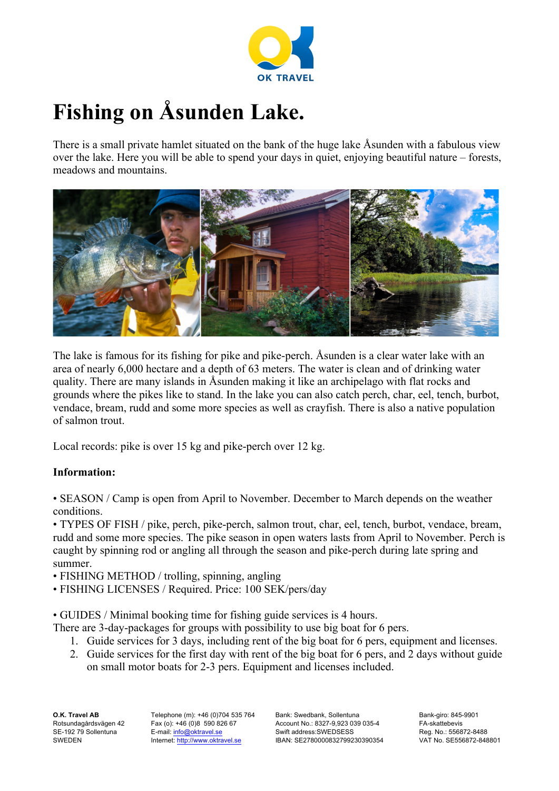

## **Fishing on Åsunden Lake.**

There is a small private hamlet situated on the bank of the huge lake Åsunden with a fabulous view over the lake. Here you will be able to spend your days in quiet, enjoying beautiful nature – forests, meadows and mountains.



The lake is famous for its fishing for pike and pike-perch. Åsunden is a clear water lake with an area of nearly 6,000 hectare and a depth of 63 meters. The water is clean and of drinking water quality. There are many islands in Åsunden making it like an archipelago with flat rocks and grounds where the pikes like to stand. In the lake you can also catch perch, char, eel, tench, burbot, vendace, bream, rudd and some more species as well as crayfish. There is also a native population of salmon trout.

Local records: pike is over 15 kg and pike-perch over 12 kg.

## **Information:**

• SEASON / Camp is open from April to November. December to March depends on the weather conditions.

• TYPES OF FISH / pike, perch, pike-perch, salmon trout, char, eel, tench, burbot, vendace, bream, rudd and some more species. The pike season in open waters lasts from April to November. Perch is caught by spinning rod or angling all through the season and pike-perch during late spring and summer.

• FISHING METHOD / trolling, spinning, angling

• FISHING LICENSES / Required. Price: 100 SEK/pers/day

• GUIDES / Minimal booking time for fishing guide services is 4 hours.

There are 3-day-packages for groups with possibility to use big boat for 6 pers.

- 1. Guide services for 3 days, including rent of the big boat for 6 pers, equipment and licenses.
- 2. Guide services for the first day with rent of the big boat for 6 pers, and 2 days without guide on small motor boats for 2-3 pers. Equipment and licenses included.

**O.K. Travel AB** Rotsundagårdsvägen 42 SE-192 79 Sollentuna SWEDEN

Telephone (m): +46 (0)704 535 764 Fax (o): +46 (0)8 590 826 67 E-mail: info@oktravel.se Internet: http://www.oktravel.se

Bank: Swedbank, Sollentuna Account No.: 8327-9,923 039 035-4 Swift address:SWEDSESS IBAN: SE2780000832799230390354 Bank-giro: 845-9901 FA-skattebevis Reg. No.: 556872-8488 VAT No. SE556872-848801